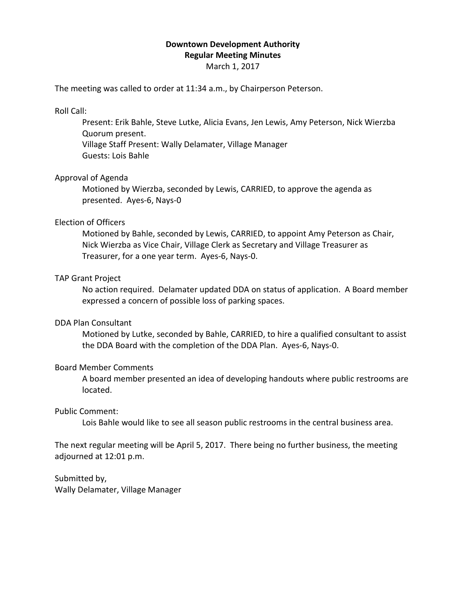# **Downtown Development Authority Regular Meeting Minutes**

March 1, 2017

The meeting was called to order at 11:34 a.m., by Chairperson Peterson.

## Roll Call:

Present: Erik Bahle, Steve Lutke, Alicia Evans, Jen Lewis, Amy Peterson, Nick Wierzba Quorum present. Village Staff Present: Wally Delamater, Village Manager Guests: Lois Bahle

## Approval of Agenda

Motioned by Wierzba, seconded by Lewis, CARRIED, to approve the agenda as presented. Ayes-6, Nays-0

## Election of Officers

Motioned by Bahle, seconded by Lewis, CARRIED, to appoint Amy Peterson as Chair, Nick Wierzba as Vice Chair, Village Clerk as Secretary and Village Treasurer as Treasurer, for a one year term. Ayes-6, Nays-0.

## TAP Grant Project

No action required. Delamater updated DDA on status of application. A Board member expressed a concern of possible loss of parking spaces.

### DDA Plan Consultant

Motioned by Lutke, seconded by Bahle, CARRIED, to hire a qualified consultant to assist the DDA Board with the completion of the DDA Plan. Ayes-6, Nays-0.

### Board Member Comments

A board member presented an idea of developing handouts where public restrooms are located.

## Public Comment:

Lois Bahle would like to see all season public restrooms in the central business area.

The next regular meeting will be April 5, 2017. There being no further business, the meeting adjourned at 12:01 p.m.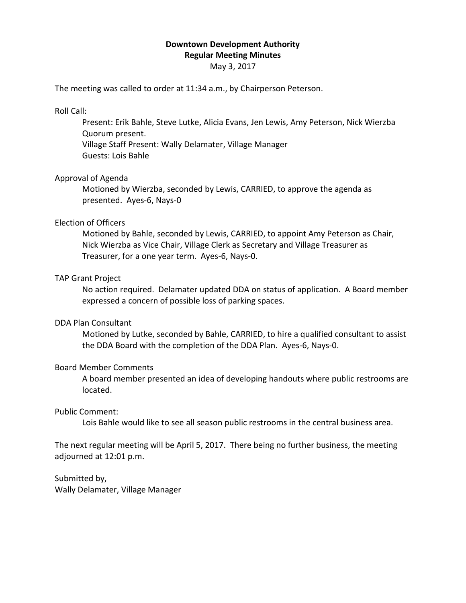# **Downtown Development Authority Regular Meeting Minutes**

May 3, 2017

The meeting was called to order at 11:34 a.m., by Chairperson Peterson.

## Roll Call:

Present: Erik Bahle, Steve Lutke, Alicia Evans, Jen Lewis, Amy Peterson, Nick Wierzba Quorum present. Village Staff Present: Wally Delamater, Village Manager Guests: Lois Bahle

## Approval of Agenda

Motioned by Wierzba, seconded by Lewis, CARRIED, to approve the agenda as presented. Ayes-6, Nays-0

## Election of Officers

Motioned by Bahle, seconded by Lewis, CARRIED, to appoint Amy Peterson as Chair, Nick Wierzba as Vice Chair, Village Clerk as Secretary and Village Treasurer as Treasurer, for a one year term. Ayes-6, Nays-0.

## TAP Grant Project

No action required. Delamater updated DDA on status of application. A Board member expressed a concern of possible loss of parking spaces.

### DDA Plan Consultant

Motioned by Lutke, seconded by Bahle, CARRIED, to hire a qualified consultant to assist the DDA Board with the completion of the DDA Plan. Ayes-6, Nays-0.

### Board Member Comments

A board member presented an idea of developing handouts where public restrooms are located.

## Public Comment:

Lois Bahle would like to see all season public restrooms in the central business area.

The next regular meeting will be April 5, 2017. There being no further business, the meeting adjourned at 12:01 p.m.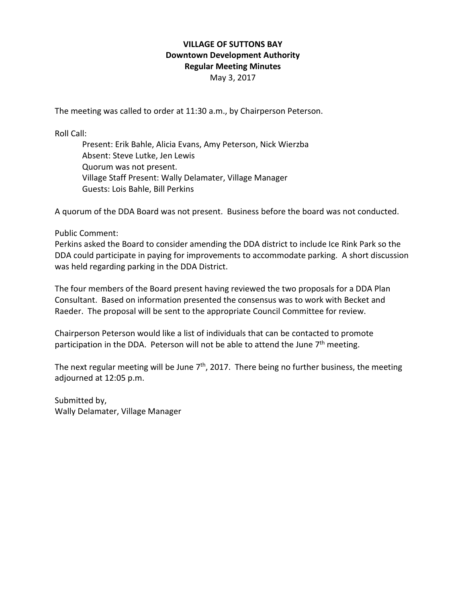# **VILLAGE OF SUTTONS BAY Downtown Development Authority Regular Meeting Minutes**

May 3, 2017

The meeting was called to order at 11:30 a.m., by Chairperson Peterson.

Roll Call:

Present: Erik Bahle, Alicia Evans, Amy Peterson, Nick Wierzba Absent: Steve Lutke, Jen Lewis Quorum was not present. Village Staff Present: Wally Delamater, Village Manager Guests: Lois Bahle, Bill Perkins

A quorum of the DDA Board was not present. Business before the board was not conducted.

## Public Comment:

Perkins asked the Board to consider amending the DDA district to include Ice Rink Park so the DDA could participate in paying for improvements to accommodate parking. A short discussion was held regarding parking in the DDA District.

The four members of the Board present having reviewed the two proposals for a DDA Plan Consultant. Based on information presented the consensus was to work with Becket and Raeder. The proposal will be sent to the appropriate Council Committee for review.

Chairperson Peterson would like a list of individuals that can be contacted to promote participation in the DDA. Peterson will not be able to attend the June  $7<sup>th</sup>$  meeting.

The next regular meeting will be June  $7<sup>th</sup>$ , 2017. There being no further business, the meeting adjourned at 12:05 p.m.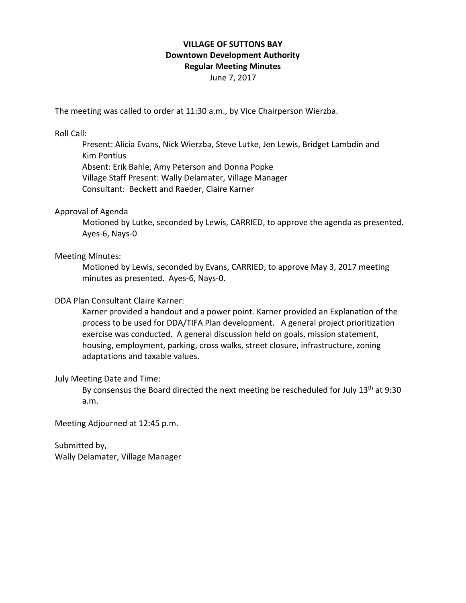# **VILLAGE OF SUTTONS BAY Downtown Development Authority Regular Meeting Minutes**

June 7, 2017

The meeting was called to order at 11:30 a.m., by Vice Chairperson Wierzba.

Roll Call:

Present: Alicia Evans, Nick Wierzba, Steve Lutke, Jen Lewis, Bridget Lambdin and Kim Pontius Absent: Erik Bahle, Amy Peterson and Donna Popke Village Staff Present: Wally Delamater, Village Manager Consultant: Beckett and Raeder, Claire Karner

## Approval of Agenda

Motioned by Lutke, seconded by Lewis, CARRIED, to approve the agenda as presented. Ayes-6, Nays-0

## Meeting Minutes:

Motioned by Lewis, seconded by Evans, CARRIED, to approve May 3, 2017 meeting minutes as presented. Ayes-6, Nays-0.

## DDA Plan Consultant Claire Karner:

Karner provided a handout and a power point. Karner provided an Explanation of the process to be used for DDA/TIFA Plan development. A general project prioritization exercise was conducted. A general discussion held on goals, mission statement, housing, employment, parking, cross walks, street closure, infrastructure, zoning adaptations and taxable values.

### July Meeting Date and Time:

By consensus the Board directed the next meeting be rescheduled for July  $13<sup>th</sup>$  at 9:30 a.m.

Meeting Adjourned at 12:45 p.m.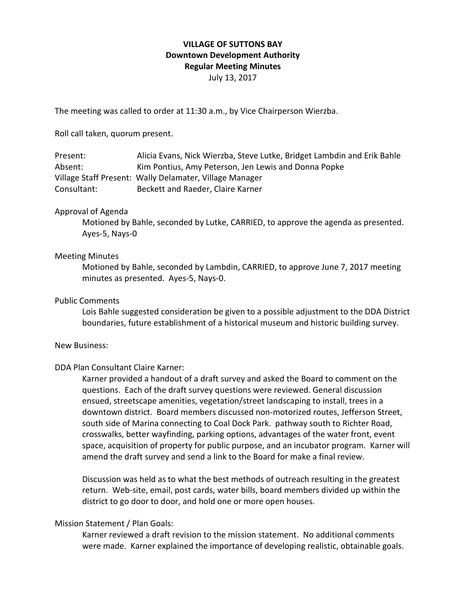## **VILLAGE OF SUTTONS BAY Downtown Development Authority Regular Meeting Minutes** July 13, 2017

The meeting was called to order at 11:30 a.m., by Vice Chairperson Wierzba.

Roll call taken, quorum present.

| Present:    | Alicia Evans, Nick Wierzba, Steve Lutke, Bridget Lambdin and Erik Bahle |
|-------------|-------------------------------------------------------------------------|
| Absent:     | Kim Pontius, Amy Peterson, Jen Lewis and Donna Popke                    |
|             | Village Staff Present: Wally Delamater, Village Manager                 |
| Consultant: | Beckett and Raeder, Claire Karner                                       |

### Approval of Agenda

Motioned by Bahle, seconded by Lutke, CARRIED, to approve the agenda as presented. Ayes-5, Nays-0

## Meeting Minutes

Motioned by Bahle, seconded by Lambdin, CARRIED, to approve June 7, 2017 meeting minutes as presented. Ayes-5, Nays-0.

#### Public Comments

Lois Bahle suggested consideration be given to a possible adjustment to the DDA District boundaries, future establishment of a historical museum and historic building survey.

#### New Business:

### DDA Plan Consultant Claire Karner:

Karner provided a handout of a draft survey and asked the Board to comment on the questions. Each of the draft survey questions were reviewed. General discussion ensued, streetscape amenities, vegetation/street landscaping to install, trees in a downtown district. Board members discussed non-motorized routes, Jefferson Street, south side of Marina connecting to Coal Dock Park. pathway south to Richter Road, crosswalks, better wayfinding, parking options, advantages of the water front, event space, acquisition of property for public purpose, and an incubator program. Karner will amend the draft survey and send a link to the Board for make a final review.

Discussion was held as to what the best methods of outreach resulting in the greatest return. Web-site, email, post cards, water bills, board members divided up within the district to go door to door, and hold one or more open houses.

### Mission Statement / Plan Goals:

Karner reviewed a draft revision to the mission statement. No additional comments were made. Karner explained the importance of developing realistic, obtainable goals.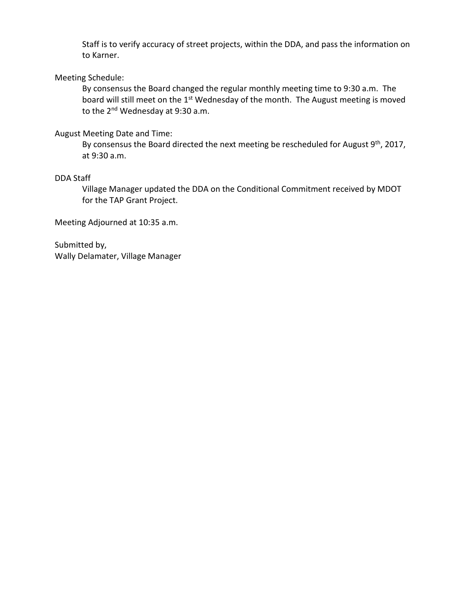Staff is to verify accuracy of street projects, within the DDA, and pass the information on to Karner.

## Meeting Schedule:

By consensus the Board changed the regular monthly meeting time to 9:30 a.m. The board will still meet on the 1<sup>st</sup> Wednesday of the month. The August meeting is moved to the 2<sup>nd</sup> Wednesday at 9:30 a.m.

## August Meeting Date and Time:

By consensus the Board directed the next meeting be rescheduled for August 9<sup>th</sup>, 2017, at 9:30 a.m.

## DDA Staff

Village Manager updated the DDA on the Conditional Commitment received by MDOT for the TAP Grant Project.

Meeting Adjourned at 10:35 a.m.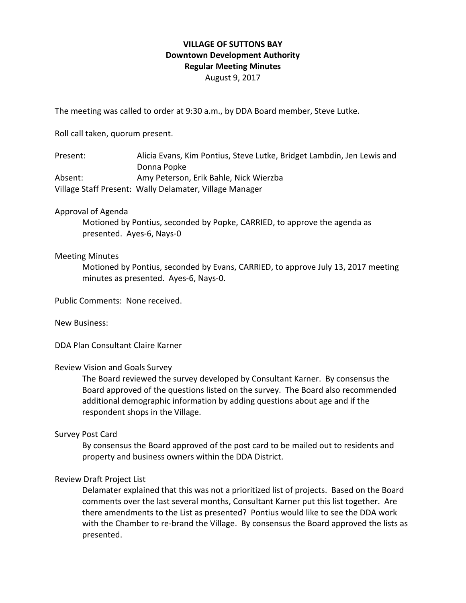## **VILLAGE OF SUTTONS BAY Downtown Development Authority Regular Meeting Minutes** August 9, 2017

The meeting was called to order at 9:30 a.m., by DDA Board member, Steve Lutke.

Roll call taken, quorum present.

Present: Alicia Evans, Kim Pontius, Steve Lutke, Bridget Lambdin, Jen Lewis and Donna Popke Absent: Amy Peterson, Erik Bahle, Nick Wierzba Village Staff Present: Wally Delamater, Village Manager

## Approval of Agenda

Motioned by Pontius, seconded by Popke, CARRIED, to approve the agenda as presented. Ayes-6, Nays-0

### Meeting Minutes

Motioned by Pontius, seconded by Evans, CARRIED, to approve July 13, 2017 meeting minutes as presented. Ayes-6, Nays-0.

Public Comments: None received.

New Business:

DDA Plan Consultant Claire Karner

### Review Vision and Goals Survey

The Board reviewed the survey developed by Consultant Karner. By consensus the Board approved of the questions listed on the survey. The Board also recommended additional demographic information by adding questions about age and if the respondent shops in the Village.

### Survey Post Card

By consensus the Board approved of the post card to be mailed out to residents and property and business owners within the DDA District.

## Review Draft Project List

Delamater explained that this was not a prioritized list of projects. Based on the Board comments over the last several months, Consultant Karner put this list together. Are there amendments to the List as presented? Pontius would like to see the DDA work with the Chamber to re-brand the Village. By consensus the Board approved the lists as presented.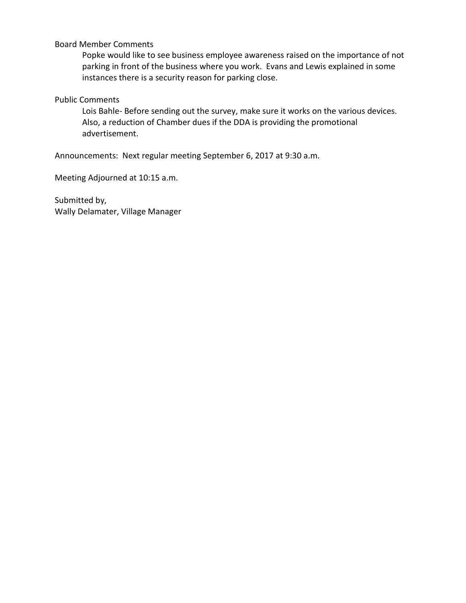## Board Member Comments

Popke would like to see business employee awareness raised on the importance of not parking in front of the business where you work. Evans and Lewis explained in some instances there is a security reason for parking close.

## Public Comments

Lois Bahle- Before sending out the survey, make sure it works on the various devices. Also, a reduction of Chamber dues if the DDA is providing the promotional advertisement.

Announcements: Next regular meeting September 6, 2017 at 9:30 a.m.

Meeting Adjourned at 10:15 a.m.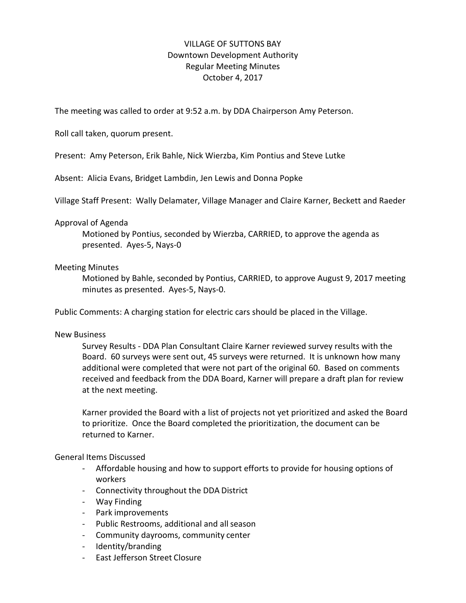# VILLAGE OF SUTTONS BAY Downtown Development Authority Regular Meeting Minutes October 4, 2017

The meeting was called to order at 9:52 a.m. by DDA Chairperson Amy Peterson.

Roll call taken, quorum present.

Present: Amy Peterson, Erik Bahle, Nick Wierzba, Kim Pontius and Steve Lutke

Absent: Alicia Evans, Bridget Lambdin, Jen Lewis and Donna Popke

Village Staff Present: Wally Delamater, Village Manager and Claire Karner, Beckett and Raeder

## Approval of Agenda

Motioned by Pontius, seconded by Wierzba, CARRIED, to approve the agenda as presented. Ayes-5, Nays-0

## Meeting Minutes

Motioned by Bahle, seconded by Pontius, CARRIED, to approve August 9, 2017 meeting minutes as presented. Ayes-5, Nays-0.

Public Comments: A charging station for electric cars should be placed in the Village.

### New Business

Survey Results - DDA Plan Consultant Claire Karner reviewed survey results with the Board. 60 surveys were sent out, 45 surveys were returned. It is unknown how many additional were completed that were not part of the original 60. Based on comments received and feedback from the DDA Board, Karner will prepare a draft plan for review at the next meeting.

Karner provided the Board with a list of projects not yet prioritized and asked the Board to prioritize. Once the Board completed the prioritization, the document can be returned to Karner.

### General Items Discussed

- Affordable housing and how to support efforts to provide for housing options of workers
- Connectivity throughout the DDA District
- Way Finding
- Park improvements
- Public Restrooms, additional and allseason
- Community dayrooms, community center
- Identity/branding
- East Jefferson Street Closure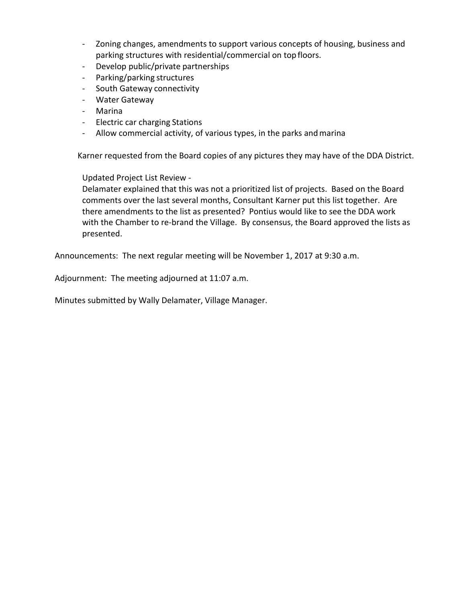- Zoning changes, amendments to support various concepts of housing, business and parking structures with residential/commercial on top floors.
- Develop public/private partnerships
- Parking/parking structures
- South Gateway connectivity
- Water Gateway
- Marina
- Electric car charging Stations
- Allow commercial activity, of various types, in the parks and marina

Karner requested from the Board copies of any pictures they may have of the DDA District.

Updated Project List Review -

Delamater explained that this was not a prioritized list of projects. Based on the Board comments over the last several months, Consultant Karner put this list together. Are there amendments to the list as presented? Pontius would like to see the DDA work with the Chamber to re-brand the Village. By consensus, the Board approved the lists as presented.

Announcements: The next regular meeting will be November 1, 2017 at 9:30 a.m.

Adjournment: The meeting adjourned at 11:07 a.m.

Minutes submitted by Wally Delamater, Village Manager.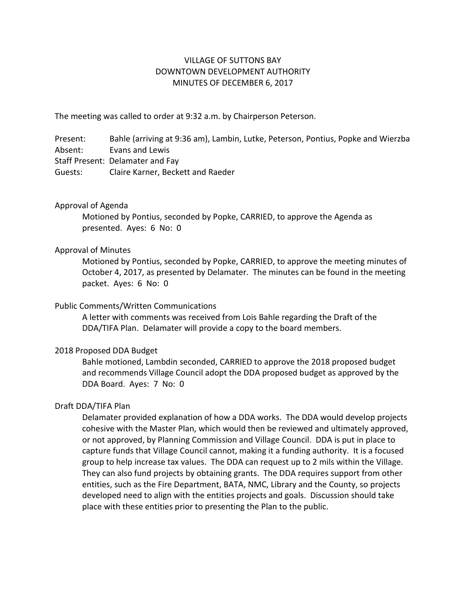## VILLAGE OF SUTTONS BAY DOWNTOWN DEVELOPMENT AUTHORITY MINUTES OF DECEMBER 6, 2017

The meeting was called to order at 9:32 a.m. by Chairperson Peterson.

Present: Bahle (arriving at 9:36 am), Lambin, Lutke, Peterson, Pontius, Popke and Wierzba Absent: Evans and Lewis Staff Present: Delamater and Fay Guests: Claire Karner, Beckett and Raeder

## Approval of Agenda

Motioned by Pontius, seconded by Popke, CARRIED, to approve the Agenda as presented. Ayes: 6 No: 0

## Approval of Minutes

Motioned by Pontius, seconded by Popke, CARRIED, to approve the meeting minutes of October 4, 2017, as presented by Delamater. The minutes can be found in the meeting packet. Ayes: 6 No: 0

## Public Comments/Written Communications

A letter with comments was received from Lois Bahle regarding the Draft of the DDA/TIFA Plan. Delamater will provide a copy to the board members.

## 2018 Proposed DDA Budget

Bahle motioned, Lambdin seconded, CARRIED to approve the 2018 proposed budget and recommends Village Council adopt the DDA proposed budget as approved by the DDA Board. Ayes: 7 No: 0

## Draft DDA/TIFA Plan

Delamater provided explanation of how a DDA works. The DDA would develop projects cohesive with the Master Plan, which would then be reviewed and ultimately approved, or not approved, by Planning Commission and Village Council. DDA is put in place to capture funds that Village Council cannot, making it a funding authority. It is a focused group to help increase tax values. The DDA can request up to 2 mils within the Village. They can also fund projects by obtaining grants. The DDA requires support from other entities, such as the Fire Department, BATA, NMC, Library and the County, so projects developed need to align with the entities projects and goals. Discussion should take place with these entities prior to presenting the Plan to the public.